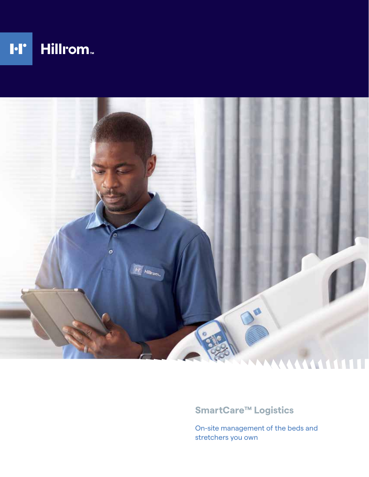



### **SmartCare™ Logistics**

On-site management of the beds and stretchers you own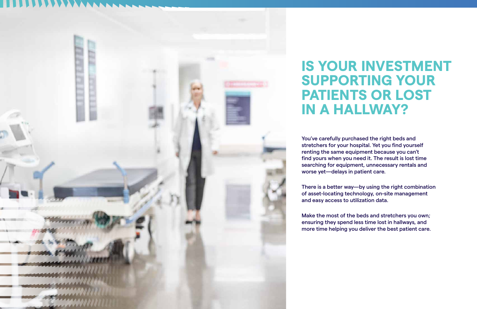You've carefully purchased the right beds and stretchers for your hospital. Yet you find yourself renting the same equipment because you can't find yours when you need it. The result is lost time searching for equipment, unnecessary rentals and worse yet—delays in patient care.

There is a better way—by using the right combination of asset-locating technology, on-site management and easy access to utilization data.

Make the most of the beds and stretchers you own; ensuring they spend less time lost in hallways, and more time helping you deliver the best patient care.



# **IS YOUR INVESTMENT SUPPORTING YOUR PATIENTS OR LOST IN A HALLWAY?**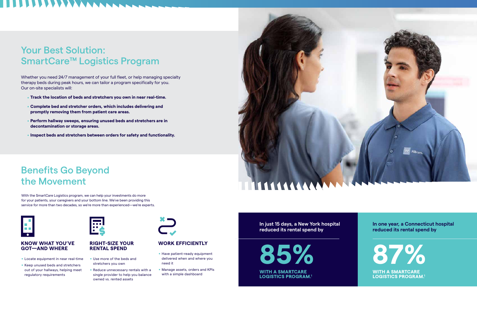- . **Track the location of beds and stretchers you own in near real-time.**
- . **Complete bed and stretcher orders, which includes delivering and promptly removing them from patient care areas.**
- . **Perform hallway sweeps, ensuring unused beds and stretchers are in decontamination or storage areas.**
- . **Inspect beds and stretchers between orders for safety and functionality.**

## Your Best Solution: SmartCare™ Logistics Program

Whether you need 24/7 management of your full fleet, or help managing specialty therapy beds during peak hours, we can tailor a program specifically for you. Our on-site specialists will:

> **WITH A SMARTCARE LOGISTICS PROGRAM.1**

**WITH A SMARTCARE LOGISTICS PROGRAM.1**



- **Have patient-ready equipment** delivered when and where you need it
- . Manage assets, orders and KPIs with a simple dashboard



### **In just 15 days, a New York hospital reduced its rental spend by**

**In one year, a Connecticut hospital reduced its rental spend by**

With the SmartCare Logistics program, we can help your investments do more for your patients, your caregivers and your bottom line. We've been providing this service for more than two decades, so we're more than experienced—we're experts.



### **KNOW WHAT YOU'VE GOT—AND WHERE**

- . Locate equipment in near real-time
- Locate equipment in near real-tim<br>- Keep unused beds and stretchers out of your hallways, helping meet regulatory requirements



### **WORK EFFICIENTLY**

### **RIGHT-SIZE YOUR RENTAL SPEND**

- . Use more of the beds and stretchers you own
- **Reduce unnecessary rentals with a** single provider to help you balance owned vs. rented assets



## Benefits Go Beyond the Movement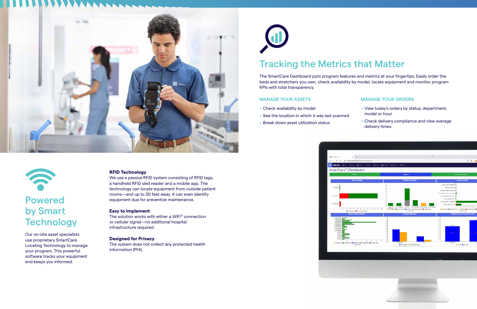



## Powered by Smart **Technology**

Our on-site asset specialists use proprietary SmartCare Locating Technology to manage your program. This powerful software tracks your equipment and keeps you informed.

### **RFID Technology**

We use a passive RFID system consisting of RFID tags, a handheld RFID sled reader and a mobile app. The technology can locate equipment from outside patient rooms—and up to 30 feet away. It can even identify equipment due for preventive maintenance.

### **Easy to Implement**

- . Check availability by model
- . See the location in which it was last scanned
- **E** Break down asset utilization status



The solution works with either a WiFi® connection or cellular signal—no additional hospital infrastructure required.

### **Designed for Privacy**

The system does not collect any protected health information (PHI).



## Tracking the Metrics that Matter

The SmartCare Dashboard puts program features and metrics at your fingertips. Easily order the beds and stretchers you own, check availability by model, locate equipment and monitor program KPIs with total transparency.

### **MANAGE YOUR ASSETS**

### **MANAGE YOUR ORDERS**

- . View today's orders by status, department, model or hour
- **Check delivery compliance and view average** delivery times

| $\scriptstyle\rm{m}$<br>headless to control teachers                                                                                                                                             | w                                                                                                                                                                                    | ◎ ☆ 酉                                                                                                                                                                                                                                                                                                                                                                  |
|--------------------------------------------------------------------------------------------------------------------------------------------------------------------------------------------------|--------------------------------------------------------------------------------------------------------------------------------------------------------------------------------------|------------------------------------------------------------------------------------------------------------------------------------------------------------------------------------------------------------------------------------------------------------------------------------------------------------------------------------------------------------------------|
| lett * Milon * Chair Winst Braker Winns * Dig-+                                                                                                                                                  |                                                                                                                                                                                      |                                                                                                                                                                                                                                                                                                                                                                        |
| ashboard                                                                                                                                                                                         |                                                                                                                                                                                      |                                                                                                                                                                                                                                                                                                                                                                        |
| ANSETS                                                                                                                                                                                           | <b>ORDERS</b>                                                                                                                                                                        | <b><i>PLACE HEW CREEK</i></b>                                                                                                                                                                                                                                                                                                                                          |
| <b>TODAY'S DROOM</b>                                                                                                                                                                             | ORGER BY LOCATION                                                                                                                                                                    | <b>GREAK AT MODEL</b>                                                                                                                                                                                                                                                                                                                                                  |
| H<br>49<br>11<br>٠<br>÷.<br>N<br>$\left\langle \cdot\right\rangle$<br>÷.<br>Ŧ<br>m.<br>×<br>÷<br>÷<br>$\rightarrow$<br>99. .<br>CAND <b>B</b> STAT B CURROU<br><b><i>BUY CRESCR TLAMAARY</i></b> | <b>A BURGEROUS</b><br>41.5 limited in-<br>Mi print: Bi d'isolado al principale da diferente:<br>A REPORT & CONSTRUCTION AND A CHARGED & CHARGED<br>it waters to<br>ORTHUR DOMESTICS. | <b>Rollov Hill (Takisto)</b><br><b>BRUSHARE (FWT)</b><br>PEGGMESI-BRE.CTMAINEL<br><b>NAVALISM BASKETING STARRINGS</b><br>TOTALIZED SHAUTERS (8141)<br>TOTALLINE ME ISTATE<br>(413) 432-912 (Crediter)<br>considered to 5 drinks<br><b>********</b><br>٠<br>A ASSOCIATE MULTING TO PARTIAL MICROSOFIC MIC<br><b>NATIONAL PROPERTY</b><br>ANTARCK ORIGINAL TANS BARACTER |
| $\blacksquare$                                                                                                                                                                                   |                                                                                                                                                                                      | to:<br>sai-                                                                                                                                                                                                                                                                                                                                                            |
| ۰<br>$\omega$<br>Ξ<br>$\sim$<br>$\sim$                                                                                                                                                           |                                                                                                                                                                                      | 458.1<br><b>ATTACK</b><br>tori                                                                                                                                                                                                                                                                                                                                         |